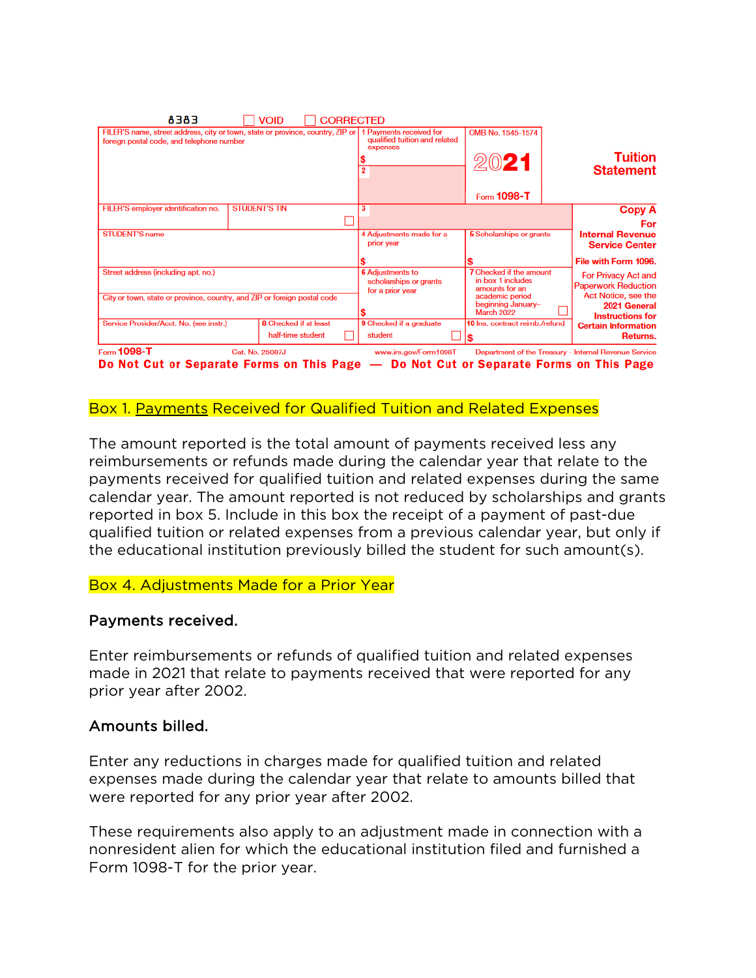| E8E8                                                                                                                                                | <b>VOID</b>                                       | <b>CORRECTED</b> |                                                                       |                                                                                                                            |                                                                |
|-----------------------------------------------------------------------------------------------------------------------------------------------------|---------------------------------------------------|------------------|-----------------------------------------------------------------------|----------------------------------------------------------------------------------------------------------------------------|----------------------------------------------------------------|
| FILER'S name, street address, city or town, state or province, country, ZIP or 1 Payments received for<br>foreign postal code, and telephone number |                                                   |                  | qualified tuition and related<br>expenses                             | OMB No. 1545-1574<br>2021                                                                                                  | <b>Tuition</b><br><b>Statement</b>                             |
|                                                                                                                                                     |                                                   |                  |                                                                       | Form 1098-T                                                                                                                |                                                                |
| FILER'S employer identification no.                                                                                                                 | <b>STUDENT'S TIN</b>                              |                  | 3                                                                     |                                                                                                                            | Copy A<br>For                                                  |
| <b>STUDENT'S name</b>                                                                                                                               |                                                   |                  | 4 Adjustments made for a<br>prior year                                | 5 Scholarships or grants                                                                                                   | <b>Internal Revenue</b><br><b>Service Center</b>               |
|                                                                                                                                                     |                                                   |                  |                                                                       |                                                                                                                            | File with Form 1096.                                           |
| Street address (including apt. no.)                                                                                                                 |                                                   |                  | <b>6</b> Adjustments to<br>scholarships or grants<br>for a prior year | <b>7</b> Checked if the amount<br>For Privacy Act and<br>in box 1 includes<br><b>Paperwork Reduction</b><br>amounts for an |                                                                |
| City or town, state or province, country, and ZIP or foreign postal code                                                                            |                                                   |                  |                                                                       | academic period<br>beginning January-<br><b>March 2022</b>                                                                 | Act Notice, see the<br>2021 General<br><b>Instructions for</b> |
| Service Provider/Acct. No. (see instr.)                                                                                                             | <b>8</b> Checked if at least<br>half-time student |                  | 9 Checked if a graduate<br>student                                    | 10 Ins. contract reimb./refund                                                                                             | <b>Certain Information</b><br>Returns.                         |
| Form 1098-T<br>Do Not Cut or Separate Forms on This Page - Do Not Cut or Separate Forms on This Page                                                | Cat. No. 25087J                                   |                  | www.irs.gov/Form1098T                                                 |                                                                                                                            | Department of the Treasury - Internal Revenue Service          |

Box 1. Payments Received for Qualified Tuition and Related Expenses

The amount reported is the total amount of payments received less any reimbursements or refunds made during the calendar year that relate to the payments received for qualified tuition and related expenses during the same calendar year. The amount reported is not reduced by scholarships and grants reported in box 5. Include in this box the receipt of a payment of past-due qualified tuition or related expenses from a previous calendar year, but only if the educational institution previously billed the student for such amount(s).

## Box 4. Adjustments Made for a Prior Year

## Payments received.

Enter reimbursements or refunds of qualified tuition and related expenses made in 2021 that relate to payments received that were reported for any prior year after 2002.

# Amounts billed.

Enter any reductions in charges made for qualified tuition and related expenses made during the calendar year that relate to amounts billed that were reported for any prior year after 2002.

These requirements also apply to an adjustment made in connection with a nonresident alien for which the educational institution filed and furnished a Form 1098-T for the prior year.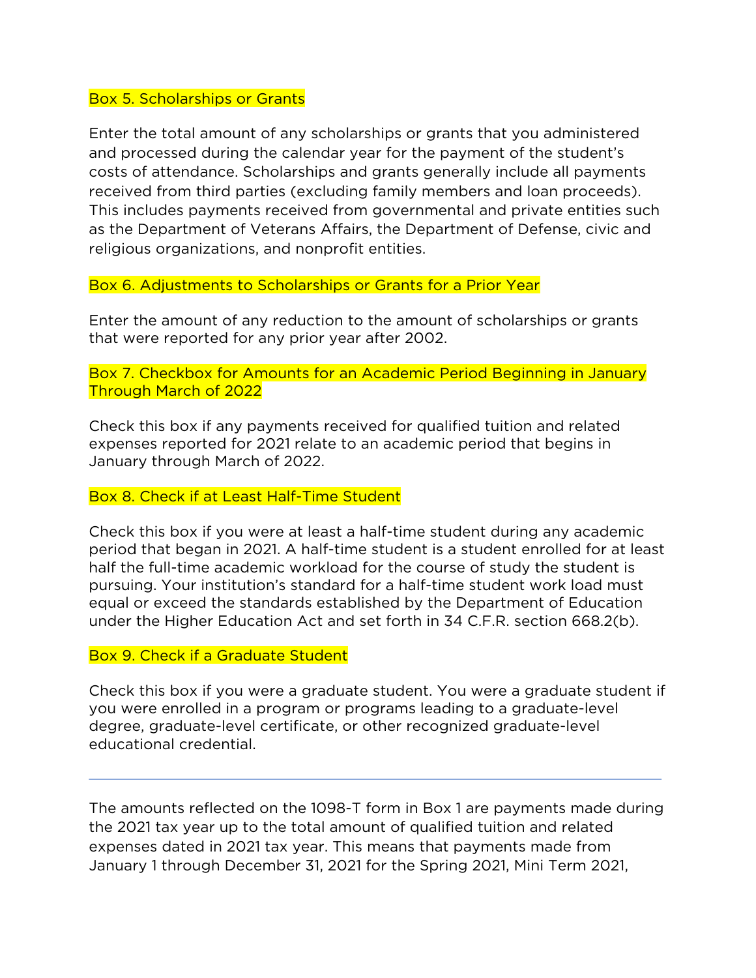#### Box 5. Scholarships or Grants

Enter the total amount of any scholarships or grants that you administered and processed during the calendar year for the payment of the student's costs of attendance. Scholarships and grants generally include all payments received from third parties (excluding family members and loan proceeds). This includes payments received from governmental and private entities such as the Department of Veterans Affairs, the Department of Defense, civic and religious organizations, and nonprofit entities.

### Box 6. Adjustments to Scholarships or Grants for a Prior Year

Enter the amount of any reduction to the amount of scholarships or grants that were reported for any prior year after 2002.

Box 7. Checkbox for Amounts for an Academic Period Beginning in January Through March of 2022

Check this box if any payments received for qualified tuition and related expenses reported for 2021 relate to an academic period that begins in January through March of 2022.

#### Box 8. Check if at Least Half-Time Student

Check this box if you were at least a half-time student during any academic period that began in 2021. A half-time student is a student enrolled for at least half the full-time academic workload for the course of study the student is pursuing. Your institution's standard for a half-time student work load must equal or exceed the standards established by the Department of Education under the Higher Education Act and set forth in 34 C.F.R. section 668.2(b).

#### Box 9. Check if a Graduate Student

Check this box if you were a graduate student. You were a graduate student if you were enrolled in a program or programs leading to a graduate-level degree, graduate-level certificate, or other recognized graduate-level educational credential.

The amounts reflected on the 1098-T form in Box 1 are payments made during the 2021 tax year up to the total amount of qualified tuition and related expenses dated in 2021 tax year. This means that payments made from January 1 through December 31, 2021 for the Spring 2021, Mini Term 2021,